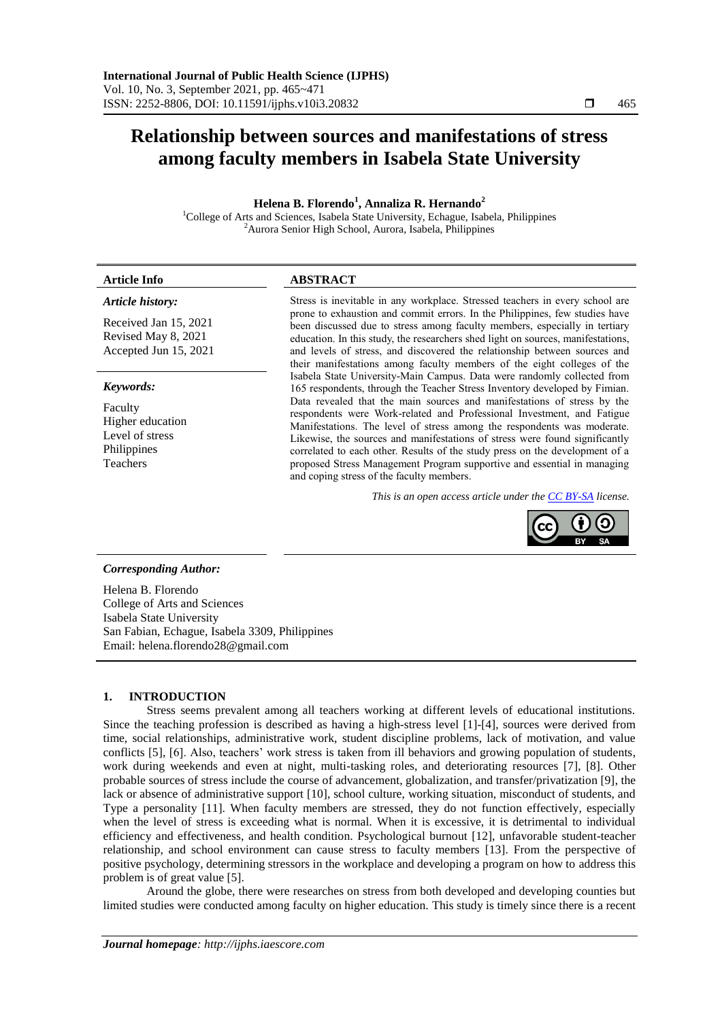# **Relationship between sources and manifestations of stress among faculty members in Isabela State University**

# **Helena B. Florendo<sup>1</sup> , Annaliza R. Hernando<sup>2</sup>**

<sup>1</sup>College of Arts and Sciences, Isabela State University, Echague, Isabela, Philippines <sup>2</sup>Aurora Senior High School, Aurora, Isabela, Philippines

# *Article history:*

Received Jan 15, 2021 Revised May 8, 2021 Accepted Jun 15, 2021

#### *Keywords:*

Faculty Higher education Level of stress Philippines Teachers

# **Article Info ABSTRACT**

Stress is inevitable in any workplace. Stressed teachers in every school are prone to exhaustion and commit errors. In the Philippines, few studies have been discussed due to stress among faculty members, especially in tertiary education. In this study, the researchers shed light on sources, manifestations, and levels of stress, and discovered the relationship between sources and their manifestations among faculty members of the eight colleges of the Isabela State University-Main Campus. Data were randomly collected from 165 respondents, through the Teacher Stress Inventory developed by Fimian. Data revealed that the main sources and manifestations of stress by the respondents were Work-related and Professional Investment, and Fatigue Manifestations. The level of stress among the respondents was moderate. Likewise, the sources and manifestations of stress were found significantly correlated to each other. Results of the study press on the development of a proposed Stress Management Program supportive and essential in managing and coping stress of the faculty members.

*This is an open access article under the [CC BY-SA](https://creativecommons.org/licenses/by-sa/4.0/) license.*



# *Corresponding Author:*

Helena B. Florendo College of Arts and Sciences Isabela State University San Fabian, Echague, Isabela 3309, Philippines Email: helena.florendo28@gmail.com

# **1. INTRODUCTION**

Stress seems prevalent among all teachers working at different levels of educational institutions. Since the teaching profession is described as having a high-stress level [1]-[4], sources were derived from time, social relationships, administrative work, student discipline problems, lack of motivation, and value conflicts [5], [6]. Also, teachers' work stress is taken from ill behaviors and growing population of students, work during weekends and even at night, multi-tasking roles, and deteriorating resources [7], [8]. Other probable sources of stress include the course of advancement, globalization, and transfer/privatization [9], the lack or absence of administrative support [10], school culture, working situation, misconduct of students, and Type a personality [11]. When faculty members are stressed, they do not function effectively, especially when the level of stress is exceeding what is normal. When it is excessive, it is detrimental to individual efficiency and effectiveness, and health condition. Psychological burnout [12], unfavorable student-teacher relationship, and school environment can cause stress to faculty members [13]. From the perspective of positive psychology, determining stressors in the workplace and developing a program on how to address this problem is of great value [5].

Around the globe, there were researches on stress from both developed and developing counties but limited studies were conducted among faculty on higher education. This study is timely since there is a recent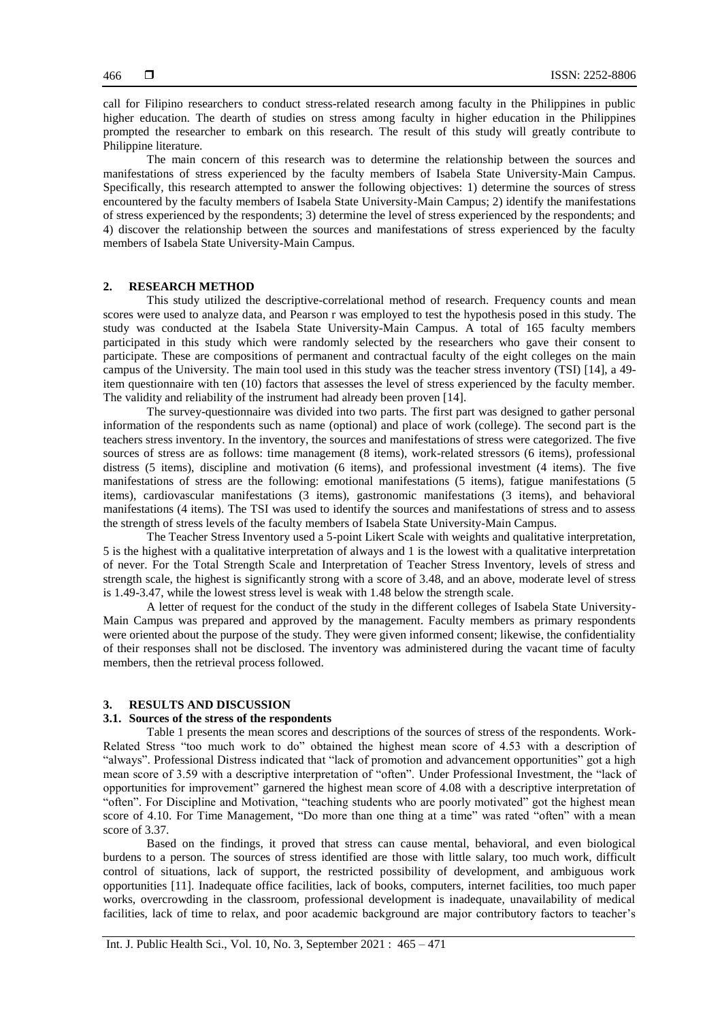call for Filipino researchers to conduct stress-related research among faculty in the Philippines in public higher education. The dearth of studies on stress among faculty in higher education in the Philippines prompted the researcher to embark on this research. The result of this study will greatly contribute to Philippine literature.

The main concern of this research was to determine the relationship between the sources and manifestations of stress experienced by the faculty members of Isabela State University-Main Campus. Specifically, this research attempted to answer the following objectives: 1) determine the sources of stress encountered by the faculty members of Isabela State University-Main Campus; 2) identify the manifestations of stress experienced by the respondents; 3) determine the level of stress experienced by the respondents; and 4) discover the relationship between the sources and manifestations of stress experienced by the faculty members of Isabela State University-Main Campus.

# **2. RESEARCH METHOD**

This study utilized the descriptive-correlational method of research. Frequency counts and mean scores were used to analyze data, and Pearson r was employed to test the hypothesis posed in this study. The study was conducted at the Isabela State University-Main Campus. A total of 165 faculty members participated in this study which were randomly selected by the researchers who gave their consent to participate. These are compositions of permanent and contractual faculty of the eight colleges on the main campus of the University. The main tool used in this study was the teacher stress inventory (TSI) [14], a 49 item questionnaire with ten (10) factors that assesses the level of stress experienced by the faculty member. The validity and reliability of the instrument had already been proven [14].

The survey-questionnaire was divided into two parts. The first part was designed to gather personal information of the respondents such as name (optional) and place of work (college). The second part is the teachers stress inventory. In the inventory, the sources and manifestations of stress were categorized. The five sources of stress are as follows: time management (8 items), work-related stressors (6 items), professional distress (5 items), discipline and motivation (6 items), and professional investment (4 items). The five manifestations of stress are the following: emotional manifestations (5 items), fatigue manifestations (5 items), cardiovascular manifestations (3 items), gastronomic manifestations (3 items), and behavioral manifestations (4 items). The TSI was used to identify the sources and manifestations of stress and to assess the strength of stress levels of the faculty members of Isabela State University-Main Campus.

The Teacher Stress Inventory used a 5-point Likert Scale with weights and qualitative interpretation, 5 is the highest with a qualitative interpretation of always and 1 is the lowest with a qualitative interpretation of never. For the Total Strength Scale and Interpretation of Teacher Stress Inventory, levels of stress and strength scale, the highest is significantly strong with a score of 3.48, and an above, moderate level of stress is 1.49-3.47, while the lowest stress level is weak with 1.48 below the strength scale.

A letter of request for the conduct of the study in the different colleges of Isabela State University-Main Campus was prepared and approved by the management. Faculty members as primary respondents were oriented about the purpose of the study. They were given informed consent; likewise, the confidentiality of their responses shall not be disclosed. The inventory was administered during the vacant time of faculty members, then the retrieval process followed.

### **3. RESULTS AND DISCUSSION**

#### **3.1. Sources of the stress of the respondents**

Table 1 presents the mean scores and descriptions of the sources of stress of the respondents. Work-Related Stress "too much work to do" obtained the highest mean score of 4.53 with a description of "always". Professional Distress indicated that "lack of promotion and advancement opportunities" got a high mean score of 3.59 with a descriptive interpretation of "often". Under Professional Investment, the "lack of opportunities for improvement" garnered the highest mean score of 4.08 with a descriptive interpretation of "often". For Discipline and Motivation, "teaching students who are poorly motivated" got the highest mean score of 4.10. For Time Management, "Do more than one thing at a time" was rated "often" with a mean score of 3.37.

Based on the findings, it proved that stress can cause mental, behavioral, and even biological burdens to a person. The sources of stress identified are those with little salary, too much work, difficult control of situations, lack of support, the restricted possibility of development, and ambiguous work opportunities [11]. Inadequate office facilities, lack of books, computers, internet facilities, too much paper works, overcrowding in the classroom, professional development is inadequate, unavailability of medical facilities, lack of time to relax, and poor academic background are major contributory factors to teacher's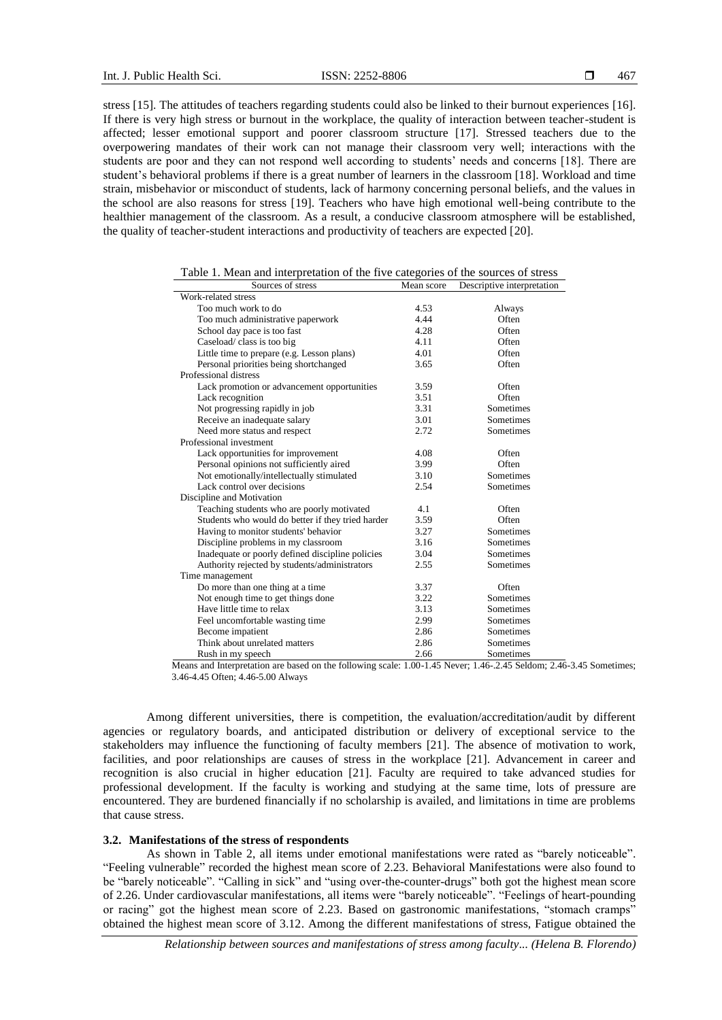stress [15]. The attitudes of teachers regarding students could also be linked to their burnout experiences [16]. If there is very high stress or burnout in the workplace, the quality of interaction between teacher-student is affected; lesser emotional support and poorer classroom structure [17]. Stressed teachers due to the overpowering mandates of their work can not manage their classroom very well; interactions with the students are poor and they can not respond well according to students' needs and concerns [18]. There are student's behavioral problems if there is a great number of learners in the classroom [18]. Workload and time strain, misbehavior or misconduct of students, lack of harmony concerning personal beliefs, and the values in the school are also reasons for stress [19]. Teachers who have high emotional well-being contribute to the healthier management of the classroom. As a result, a conducive classroom atmosphere will be established, the quality of teacher-student interactions and productivity of teachers are expected [20].

| Sources of stress                                 | Mean score | Descriptive interpretation |
|---------------------------------------------------|------------|----------------------------|
| Work-related stress                               |            |                            |
| Too much work to do                               | 4.53       | Always                     |
| Too much administrative paperwork                 | 4.44       | Often                      |
| School day pace is too fast                       | 4.28       | Often                      |
| Caseload/class is too big                         | 4.11       | Often                      |
| Little time to prepare (e.g. Lesson plans)        | 4.01       | Often                      |
| Personal priorities being shortchanged            | 3.65       | Often                      |
| Professional distress                             |            |                            |
| Lack promotion or advancement opportunities       | 3.59       | Often                      |
| Lack recognition                                  | 3.51       | Often                      |
| Not progressing rapidly in job                    | 3.31       | Sometimes                  |
| Receive an inadequate salary                      | 3.01       | Sometimes                  |
| Need more status and respect                      | 2.72       | Sometimes                  |
| Professional investment                           |            |                            |
| Lack opportunities for improvement                | 4.08       | Often                      |
| Personal opinions not sufficiently aired          | 3.99       | Often                      |
| Not emotionally/intellectually stimulated         | 3.10       | Sometimes                  |
| Lack control over decisions                       | 2.54       | Sometimes                  |
| Discipline and Motivation                         |            |                            |
| Teaching students who are poorly motivated        | 4.1        | Often                      |
| Students who would do better if they tried harder | 3.59       | Often                      |
| Having to monitor students' behavior              | 3.27       | Sometimes                  |
| Discipline problems in my classroom               | 3.16       | Sometimes                  |
| Inadequate or poorly defined discipline policies  | 3.04       | Sometimes                  |
| Authority rejected by students/administrators     | 2.55       | Sometimes                  |
| Time management                                   |            |                            |
| Do more than one thing at a time                  | 3.37       | Often                      |
| Not enough time to get things done                | 3.22       | Sometimes                  |
| Have little time to relax                         | 3.13       | Sometimes                  |
| Feel uncomfortable wasting time                   | 2.99       | Sometimes                  |
| Become impatient                                  | 2.86       | Sometimes                  |
| Think about unrelated matters                     | 2.86       | Sometimes                  |
| Rush in my speech                                 | 2.66       | Sometimes                  |

|  |  |  | Table 1. Mean and interpretation of the five categories of the sources of stress |  |  |
|--|--|--|----------------------------------------------------------------------------------|--|--|
|  |  |  |                                                                                  |  |  |

Means and Interpretation are based on the following scale: 1.00-1.45 Never; 1.46-.2.45 Seldom; 2.46-3.45 Sometimes; 3.46-4.45 Often; 4.46-5.00 Always

Among different universities, there is competition, the evaluation/accreditation/audit by different agencies or regulatory boards, and anticipated distribution or delivery of exceptional service to the stakeholders may influence the functioning of faculty members [21]. The absence of motivation to work, facilities, and poor relationships are causes of stress in the workplace [21]. Advancement in career and recognition is also crucial in higher education [21]. Faculty are required to take advanced studies for professional development. If the faculty is working and studying at the same time, lots of pressure are encountered. They are burdened financially if no scholarship is availed, and limitations in time are problems that cause stress.

# **3.2. Manifestations of the stress of respondents**

As shown in Table 2, all items under emotional manifestations were rated as "barely noticeable". "Feeling vulnerable" recorded the highest mean score of 2.23. Behavioral Manifestations were also found to be "barely noticeable". "Calling in sick" and "using over-the-counter-drugs" both got the highest mean score of 2.26. Under cardiovascular manifestations, all items were "barely noticeable". "Feelings of heart-pounding or racing" got the highest mean score of 2.23. Based on gastronomic manifestations, "stomach cramps" obtained the highest mean score of 3.12. Among the different manifestations of stress, Fatigue obtained the

*Relationship between sources and manifestations of stress among faculty... (Helena B. Florendo)*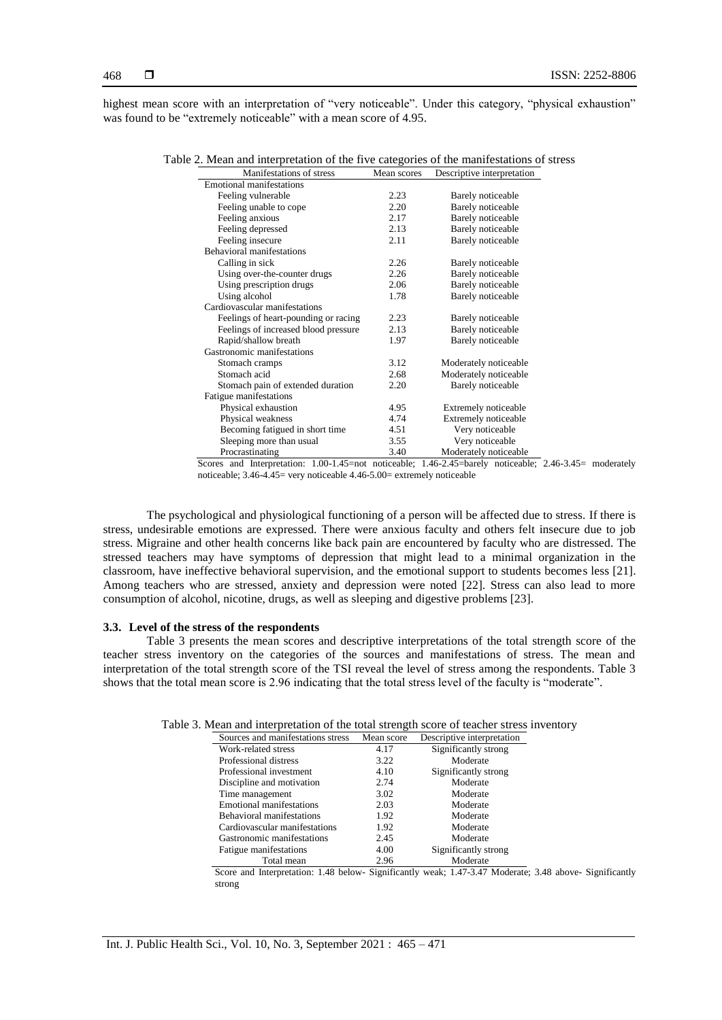highest mean score with an interpretation of "very noticeable". Under this category, "physical exhaustion" was found to be "extremely noticeable" with a mean score of 4.95.

| Table 2. Mean and interpretation of the five categories of the manifestations of stress |  |  |  |  |  |  |
|-----------------------------------------------------------------------------------------|--|--|--|--|--|--|
|-----------------------------------------------------------------------------------------|--|--|--|--|--|--|

| Manifestations of stress             | Mean scores | Descriptive interpretation |
|--------------------------------------|-------------|----------------------------|
| <b>Emotional manifestations</b>      |             |                            |
| Feeling vulnerable                   | 2.23        | Barely noticeable          |
| Feeling unable to cope               | 2.20        | <b>Barely</b> noticeable   |
| Feeling anxious                      | 2.17        | Barely noticeable          |
| Feeling depressed                    | 2.13        | Barely noticeable          |
| Feeling insecure                     | 2.11        | <b>Barely</b> noticeable   |
| <b>Behavioral manifestations</b>     |             |                            |
| Calling in sick                      | 2.26        | Barely noticeable          |
| Using over-the-counter drugs         | 2.26        | Barely noticeable          |
| Using prescription drugs             | 2.06        | <b>Barely</b> noticeable   |
| Using alcohol                        | 1.78        | Barely noticeable          |
| Cardiovascular manifestations        |             |                            |
| Feelings of heart-pounding or racing | 2.23        | Barely noticeable          |
| Feelings of increased blood pressure | 2.13        | Barely noticeable          |
| Rapid/shallow breath                 | 1.97        | <b>Barely</b> noticeable   |
| Gastronomic manifestations           |             |                            |
| Stomach cramps                       | 3.12        | Moderately noticeable      |
| Stomach acid                         | 2.68        | Moderately noticeable      |
| Stomach pain of extended duration    | 2.20        | Barely noticeable          |
| Fatigue manifestations               |             |                            |
| Physical exhaustion                  | 4.95        | Extremely noticeable       |
| Physical weakness                    | 4.74        | Extremely noticeable       |
| Becoming fatigued in short time      | 4.51        | Very noticeable            |
| Sleeping more than usual             | 3.55        | Very noticeable            |
| Procrastinating                      | 3.40        | Moderately noticeable      |

Scores and Interpretation: 1.00-1.45=not noticeable; 1.46-2.45=barely noticeable; 2.46-3.45= moderately noticeable; 3.46-4.45= very noticeable 4.46-5.00= extremely noticeable

The psychological and physiological functioning of a person will be affected due to stress. If there is stress, undesirable emotions are expressed. There were anxious faculty and others felt insecure due to job stress. Migraine and other health concerns like back pain are encountered by faculty who are distressed. The stressed teachers may have symptoms of depression that might lead to a minimal organization in the classroom, have ineffective behavioral supervision, and the emotional support to students becomes less [21]. Among teachers who are stressed, anxiety and depression were noted [22]. Stress can also lead to more consumption of alcohol, nicotine, drugs, as well as sleeping and digestive problems [23].

#### **3.3. Level of the stress of the respondents**

Table 3 presents the mean scores and descriptive interpretations of the total strength score of the teacher stress inventory on the categories of the sources and manifestations of stress. The mean and interpretation of the total strength score of the TSI reveal the level of stress among the respondents. Table 3 shows that the total mean score is 2.96 indicating that the total stress level of the faculty is "moderate".

| Table 3. Mean and interpretation of the total strength score of teacher stress inventory |  |  |
|------------------------------------------------------------------------------------------|--|--|
|                                                                                          |  |  |

| Sources and manifestations stress | Mean score | Descriptive interpretation |
|-----------------------------------|------------|----------------------------|
| Work-related stress               | 4.17       | Significantly strong       |
| Professional distress             | 3.22       | Moderate                   |
| Professional investment           | 4.10       | Significantly strong       |
| Discipline and motivation         | 2.74       | Moderate                   |
| Time management                   | 3.02       | Moderate                   |
| <b>Emotional manifestations</b>   | 2.03       | Moderate                   |
| <b>Behavioral manifestations</b>  | 1.92       | Moderate                   |
| Cardiovascular manifestations     | 1.92       | Moderate                   |
| Gastronomic manifestations        | 2.45       | Moderate                   |
| Fatigue manifestations            | 4.00       | Significantly strong       |
| Total mean                        | 2.96       | Moderate                   |

Score and Interpretation: 1.48 below- Significantly weak; 1.47-3.47 Moderate; 3.48 above- Significantly strong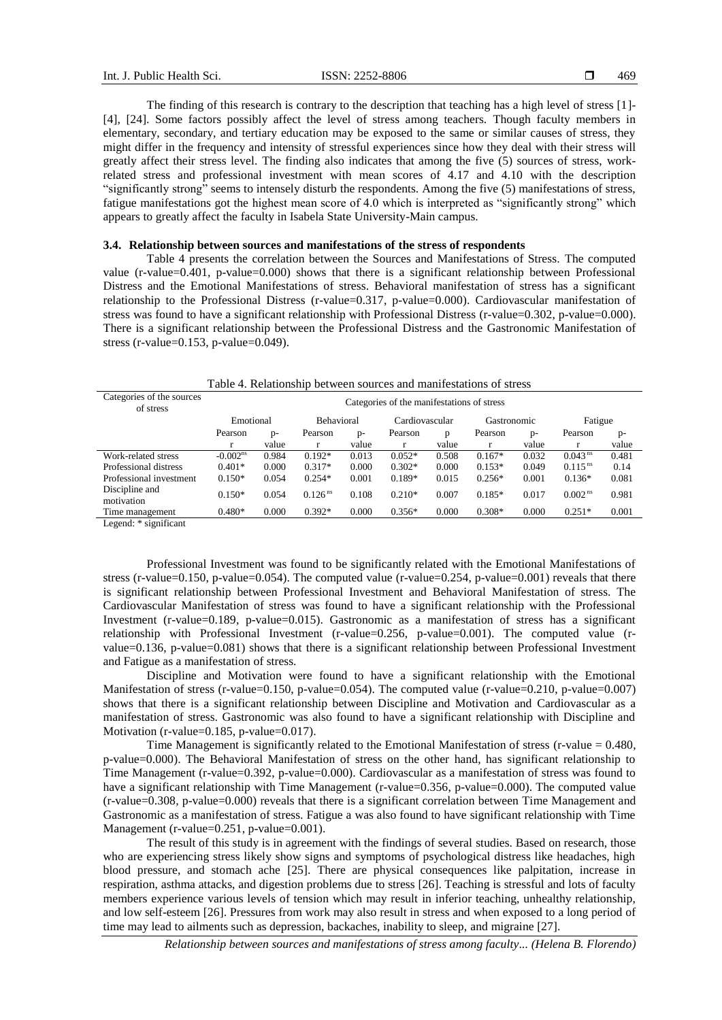The finding of this research is contrary to the description that teaching has a high level of stress [1]- [4], [24]. Some factors possibly affect the level of stress among teachers. Though faculty members in elementary, secondary, and tertiary education may be exposed to the same or similar causes of stress, they might differ in the frequency and intensity of stressful experiences since how they deal with their stress will greatly affect their stress level. The finding also indicates that among the five (5) sources of stress, workrelated stress and professional investment with mean scores of 4.17 and 4.10 with the description "significantly strong" seems to intensely disturb the respondents. Among the five (5) manifestations of stress, fatigue manifestations got the highest mean score of 4.0 which is interpreted as "significantly strong" which appears to greatly affect the faculty in Isabela State University-Main campus.

# **3.4. Relationship between sources and manifestations of the stress of respondents**

Table 4 presents the correlation between the Sources and Manifestations of Stress. The computed value (r-value=0.401, p-value=0.000) shows that there is a significant relationship between Professional Distress and the Emotional Manifestations of stress. Behavioral manifestation of stress has a significant relationship to the Professional Distress (r-value=0.317, p-value=0.000). Cardiovascular manifestation of stress was found to have a significant relationship with Professional Distress (r-value=0.302, p-value=0.000). There is a significant relationship between the Professional Distress and the Gastronomic Manifestation of stress (r-value=0.153, p-value=0.049).

| <u>n ivuutomand oven ovii sourvos unu muintosuusons or suvas</u> |                                            |                                |                       |       |          |                |          |             |                       |         |  |
|------------------------------------------------------------------|--------------------------------------------|--------------------------------|-----------------------|-------|----------|----------------|----------|-------------|-----------------------|---------|--|
| Categories of the sources<br>of stress                           | Categories of the manifestations of stress |                                |                       |       |          |                |          |             |                       |         |  |
|                                                                  |                                            | <b>Behavioral</b><br>Emotional |                       |       |          | Cardiovascular |          | Gastronomic |                       | Fatigue |  |
|                                                                  | Pearson                                    | $D -$                          | Pearson               | $p-$  | Pearson  | D              | Pearson  | $p-$        | Pearson               | $p-$    |  |
|                                                                  | r                                          | value                          |                       | value |          | value          |          | value       |                       | value   |  |
| Work-related stress                                              | $-0.002^{\text{ns}}$                       | 0.984                          | $0.192*$              | 0.013 | $0.052*$ | 0.508          | $0.167*$ | 0.032       | 0.043 <sup>ns</sup>   | 0.481   |  |
| Professional distress                                            | $0.401*$                                   | 0.000                          | $0.317*$              | 0.000 | $0.302*$ | 0.000          | $0.153*$ | 0.049       | $0.115$ <sup>ns</sup> | 0.14    |  |
| Professional investment                                          | $0.150*$                                   | 0.054                          | $0.254*$              | 0.001 | $0.189*$ | 0.015          | $0.256*$ | 0.001       | $0.136*$              | 0.081   |  |
| Discipline and<br>motivation                                     | $0.150*$                                   | 0.054                          | $0.126$ <sup>ns</sup> | 0.108 | $0.210*$ | 0.007          | $0.185*$ | 0.017       | 0.002 <sup>ns</sup>   | 0.981   |  |
| Time management                                                  | $0.480*$                                   | 0.000                          | $0.392*$              | 0.000 | $0.356*$ | 0.000          | $0.308*$ | 0.000       | $0.251*$              | 0.001   |  |
| $\cdot$                                                          |                                            |                                |                       |       |          |                |          |             |                       |         |  |

# Table 4. Relationship between sources and manifestations of stress

Legend: \* significant

Professional Investment was found to be significantly related with the Emotional Manifestations of stress (r-value=0.150, p-value=0.054). The computed value (r-value=0.254, p-value=0.001) reveals that there is significant relationship between Professional Investment and Behavioral Manifestation of stress. The Cardiovascular Manifestation of stress was found to have a significant relationship with the Professional Investment (r-value=0.189, p-value=0.015). Gastronomic as a manifestation of stress has a significant relationship with Professional Investment (r-value=0.256, p-value=0.001). The computed value (rvalue=0.136, p-value=0.081) shows that there is a significant relationship between Professional Investment and Fatigue as a manifestation of stress.

Discipline and Motivation were found to have a significant relationship with the Emotional Manifestation of stress (r-value=0.150, p-value=0.054). The computed value (r-value=0.210, p-value=0.007) shows that there is a significant relationship between Discipline and Motivation and Cardiovascular as a manifestation of stress. Gastronomic was also found to have a significant relationship with Discipline and Motivation (r-value=0.185, p-value=0.017).

Time Management is significantly related to the Emotional Manifestation of stress (r-value = 0.480, p-value=0.000). The Behavioral Manifestation of stress on the other hand, has significant relationship to Time Management (r-value=0.392, p-value=0.000). Cardiovascular as a manifestation of stress was found to have a significant relationship with Time Management (r-value=0.356, p-value=0.000). The computed value (r-value=0.308, p-value=0.000) reveals that there is a significant correlation between Time Management and Gastronomic as a manifestation of stress. Fatigue a was also found to have significant relationship with Time Management (r-value=0.251, p-value=0.001).

The result of this study is in agreement with the findings of several studies. Based on research, those who are experiencing stress likely show signs and symptoms of psychological distress like headaches, high blood pressure, and stomach ache [25]. There are physical consequences like palpitation, increase in respiration, asthma attacks, and digestion problems due to stress [26]. Teaching is stressful and lots of faculty members experience various levels of tension which may result in inferior teaching, unhealthy relationship, and low self-esteem [26]. Pressures from work may also result in stress and when exposed to a long period of time may lead to ailments such as depression, backaches, inability to sleep, and migraine [27].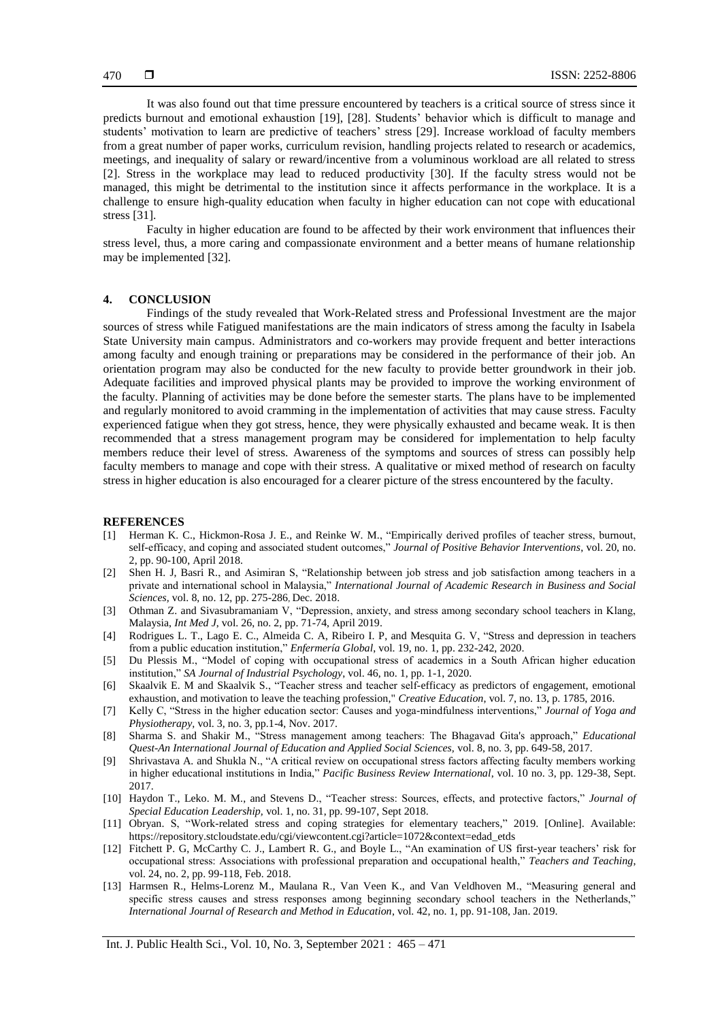It was also found out that time pressure encountered by teachers is a critical source of stress since it predicts burnout and emotional exhaustion [19], [28]. Students' behavior which is difficult to manage and students' motivation to learn are predictive of teachers' stress [29]. Increase workload of faculty members from a great number of paper works, curriculum revision, handling projects related to research or academics, meetings, and inequality of salary or reward/incentive from a voluminous workload are all related to stress [2]. Stress in the workplace may lead to reduced productivity [30]. If the faculty stress would not be managed, this might be detrimental to the institution since it affects performance in the workplace. It is a challenge to ensure high-quality education when faculty in higher education can not cope with educational stress [31].

Faculty in higher education are found to be affected by their work environment that influences their stress level, thus, a more caring and compassionate environment and a better means of humane relationship may be implemented [32].

# **4. CONCLUSION**

Findings of the study revealed that Work-Related stress and Professional Investment are the major sources of stress while Fatigued manifestations are the main indicators of stress among the faculty in Isabela State University main campus. Administrators and co-workers may provide frequent and better interactions among faculty and enough training or preparations may be considered in the performance of their job. An orientation program may also be conducted for the new faculty to provide better groundwork in their job. Adequate facilities and improved physical plants may be provided to improve the working environment of the faculty. Planning of activities may be done before the semester starts. The plans have to be implemented and regularly monitored to avoid cramming in the implementation of activities that may cause stress. Faculty experienced fatigue when they got stress, hence, they were physically exhausted and became weak. It is then recommended that a stress management program may be considered for implementation to help faculty members reduce their level of stress. Awareness of the symptoms and sources of stress can possibly help faculty members to manage and cope with their stress. A qualitative or mixed method of research on faculty stress in higher education is also encouraged for a clearer picture of the stress encountered by the faculty.

#### **REFERENCES**

- [1] Herman K. C., Hickmon-Rosa J. E., and Reinke W. M., "Empirically derived profiles of teacher stress, burnout, self-efficacy, and coping and associated student outcomes," *Journal of Positive Behavior Interventions*, vol. 20, no. 2, pp. 90-100, April 2018.
- [2] Shen H. J, Basri R., and Asimiran S, "Relationship between job stress and job satisfaction among teachers in a private and international school in Malaysia," *International Journal of Academic Research in Business and Social Sciences,* vol. 8, no. 12, pp. 275-286, Dec. 2018.
- [3] Othman Z. and Sivasubramaniam V, "Depression, anxiety, and stress among secondary school teachers in Klang, Malaysia, *Int Med J*, vol. 26, no. 2, pp. 71-74, April 2019.
- [4] Rodrigues L. T., Lago E. C., Almeida C. A, Ribeiro I. P, and Mesquita G. V, "Stress and depression in teachers from a public education institution," *Enfermería Global*, vol. 19, no. 1, pp. 232-242, 2020.
- [5] Du Plessis M., "Model of coping with occupational stress of academics in a South African higher education institution," *SA Journal of Industrial Psychology*, vol. 46, no. 1, pp. 1-1, 2020.
- [6] Skaalvik E. M and Skaalvik S., "Teacher stress and teacher self-efficacy as predictors of engagement, emotional exhaustion, and motivation to leave the teaching profession," *Creative Education*, vol. 7, no. 13, p. 1785, 2016.
- [7] Kelly C, "Stress in the higher education sector: Causes and yoga-mindfulness interventions," *Journal of Yoga and Physiotherapy,* vol. 3, no. 3, pp.1-4, Nov. 2017.
- [8] Sharma S. and Shakir M., "Stress management among teachers: The Bhagavad Gita's approach," *Educational Quest-An International Journal of Education and Applied Social Sciences,* vol. 8, no. 3, pp. 649-58, 2017.
- [9] Shrivastava A. and Shukla N., "A critical review on occupational stress factors affecting faculty members working in higher educational institutions in India," *Pacific Business Review International*, vol. 10 no. 3, pp. 129-38, Sept. 2017.
- [10] Haydon T., Leko. M. M., and Stevens D., "Teacher stress: Sources, effects, and protective factors," *Journal of Special Education Leadership,* vol. 1, no. 31, pp. 99-107, Sept 2018.
- [11] Obryan. S, "Work-related stress and coping strategies for elementary teachers," 2019. [Online]. Available: https://repository.stcloudstate.edu/cgi/viewcontent.cgi?article=1072&context=edad\_etds
- [12] Fitchett P. G, McCarthy C. J., Lambert R. G., and Boyle L., "An examination of US first-year teachers' risk for occupational stress: Associations with professional preparation and occupational health," *Teachers and Teaching*, vol. 24, no. 2, pp. 99-118, Feb. 2018.
- [13] Harmsen R., Helms-Lorenz M., Maulana R., Van Veen K., and Van Veldhoven M., "Measuring general and specific stress causes and stress responses among beginning secondary school teachers in the Netherlands," *International Journal of Research and Method in Education*, vol. 42, no. 1, pp. 91-108, Jan. 2019.